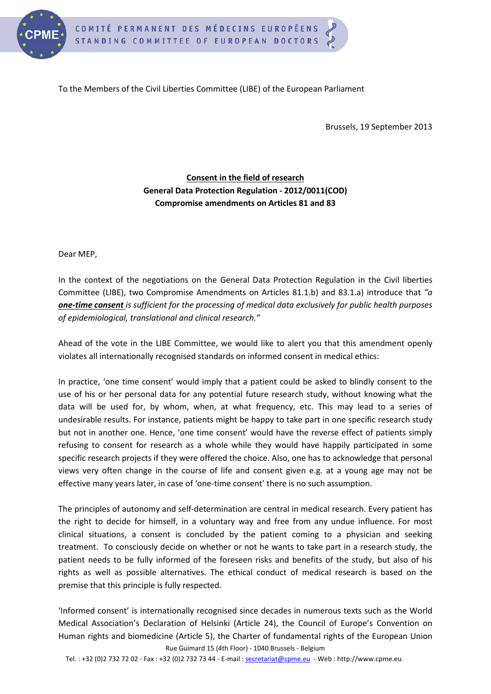

To the Members of the Civil Liberties Committee (LIBE) of the European Parliament

Brussels, 19 September 2013

## **Consent in the field of research General Data Protection Regulation - 2012/0011(COD) Compromise amendments on Articles 81 and 83**

Dear MEP,

In the context of the negotiations on the General Data Protection Regulation in the Civil liberties Committee (LIBE), two Compromise Amendments on Articles 81.1.b) and 83.1.a) introduce that *"a one-time consent is sufficient for the processing of medical data exclusively for public health purposes of epidemiological, translational and clinical research."*

Ahead of the vote in the LIBE Committee, we would like to alert you that this amendment openly violates all internationally recognised standards on informed consent in medical ethics:

In practice, 'one time consent' would imply that a patient could be asked to blindly consent to the use of his or her personal data for any potential future research study, without knowing what the data will be used for, by whom, when, at what frequency, etc. This may lead to a series of undesirable results. For instance, patients might be happy to take part in one specific research study but not in another one. Hence, 'one time consent' would have the reverse effect of patients simply refusing to consent for research as a whole while they would have happily participated in some specific research projects if they were offered the choice. Also, one has to acknowledge that personal views very often change in the course of life and consent given e.g. at a young age may not be effective many years later, in case of 'one-time consent' there is no such assumption.

The principles of autonomy and self-determination are central in medical research. Every patient has the right to decide for himself, in a voluntary way and free from any undue influence. For most clinical situations, a consent is concluded by the patient coming to a physician and seeking treatment. To consciously decide on whether or not he wants to take part in a research study, the patient needs to be fully informed of the foreseen risks and benefits of the study, but also of his rights as well as possible alternatives. The ethical conduct of medical research is based on the premise that this principle is fully respected.

Rue Guimard 15 (4th Floor) - 1040 Brussels - Belgium 'Informed consent' is internationally recognised since decades in numerous texts such as the World Medical Association's Declaration of Helsinki (Article 24), the Council of Europe's Convention on Human rights and biomedicine (Article 5), the Charter of fundamental rights of the European Union